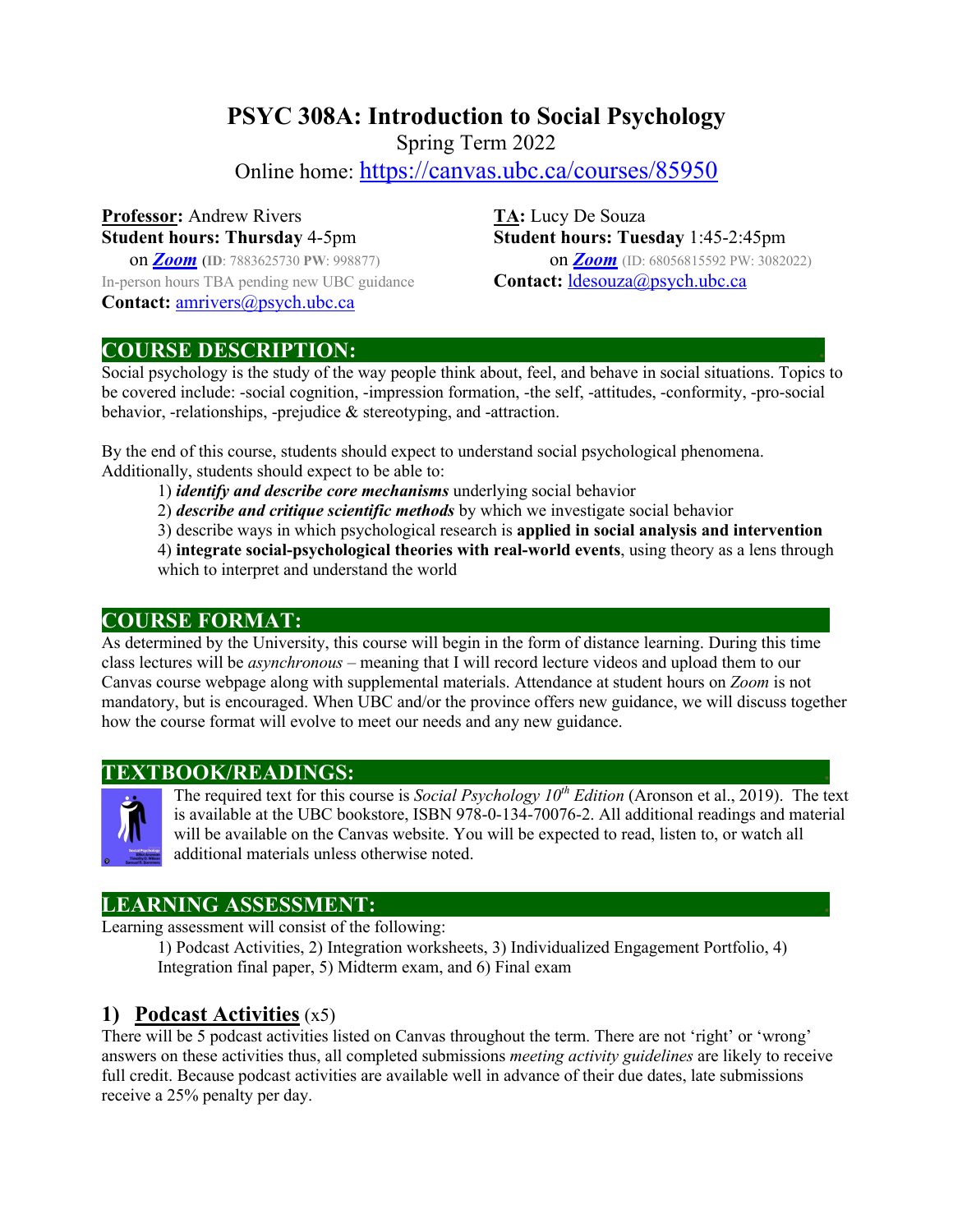# **PSYC 308A: Introduction to Social Psychology**

Spring Term 2022

Online home: https://canvas.ubc.ca/courses/85950

# **Professor:** Andrew Rivers **TA:** Lucy De Souza

In-person hours TBA pending new UBC guidance **Contact:** ldesouza@psych.ubc.ca **Contact:** amrivers@psych.ubc.ca

**Student hours: Thursday** 4-5pm **Student hours: Tuesday** 1:45-2:45pm on *Zoom* (**ID**: 7883625730 **PW**: 998877) on *Zoom* (ID: 68056815592 PW: 3082022)

#### **COURSE DESCRIPTION: .**

Social psychology is the study of the way people think about, feel, and behave in social situations. Topics to be covered include: -social cognition, -impression formation, -the self, -attitudes, -conformity, -pro-social behavior, -relationships, -prejudice & stereotyping, and -attraction.

By the end of this course, students should expect to understand social psychological phenomena. Additionally, students should expect to be able to:

1) *identify and describe core mechanisms* underlying social behavior

2) *describe and critique scientific methods* by which we investigate social behavior

3) describe ways in which psychological research is **applied in social analysis and intervention**

4) **integrate social-psychological theories with real-world events**, using theory as a lens through which to interpret and understand the world

#### **COURSE FORMAT:**

As determined by the University, this course will begin in the form of distance learning. During this time class lectures will be *asynchronous* – meaning that I will record lecture videos and upload them to our Canvas course webpage along with supplemental materials. Attendance at student hours on *Zoom* is not mandatory, but is encouraged. When UBC and/or the province offers new guidance, we will discuss together how the course format will evolve to meet our needs and any new guidance.

#### **TEXTBOOK/READINGS: .**



The required text for this course is *Social Psychology 10<sup>th</sup> Edition* (Aronson et al., 2019). The text is available at the UBC bookstore, ISBN 978-0-134-70076-2. All additional readings and material will be available on the Canvas website. You will be expected to read, listen to, or watch all additional materials unless otherwise noted.

#### **LEARNING ASSESSMENT: .**

Learning assessment will consist of the following:

1) Podcast Activities, 2) Integration worksheets, 3) Individualized Engagement Portfolio, 4) Integration final paper, 5) Midterm exam, and 6) Final exam

#### **1) Podcast Activities** (x5)

There will be 5 podcast activities listed on Canvas throughout the term. There are not 'right' or 'wrong' answers on these activities thus, all completed submissions *meeting activity guidelines* are likely to receive full credit. Because podcast activities are available well in advance of their due dates, late submissions receive a 25% penalty per day.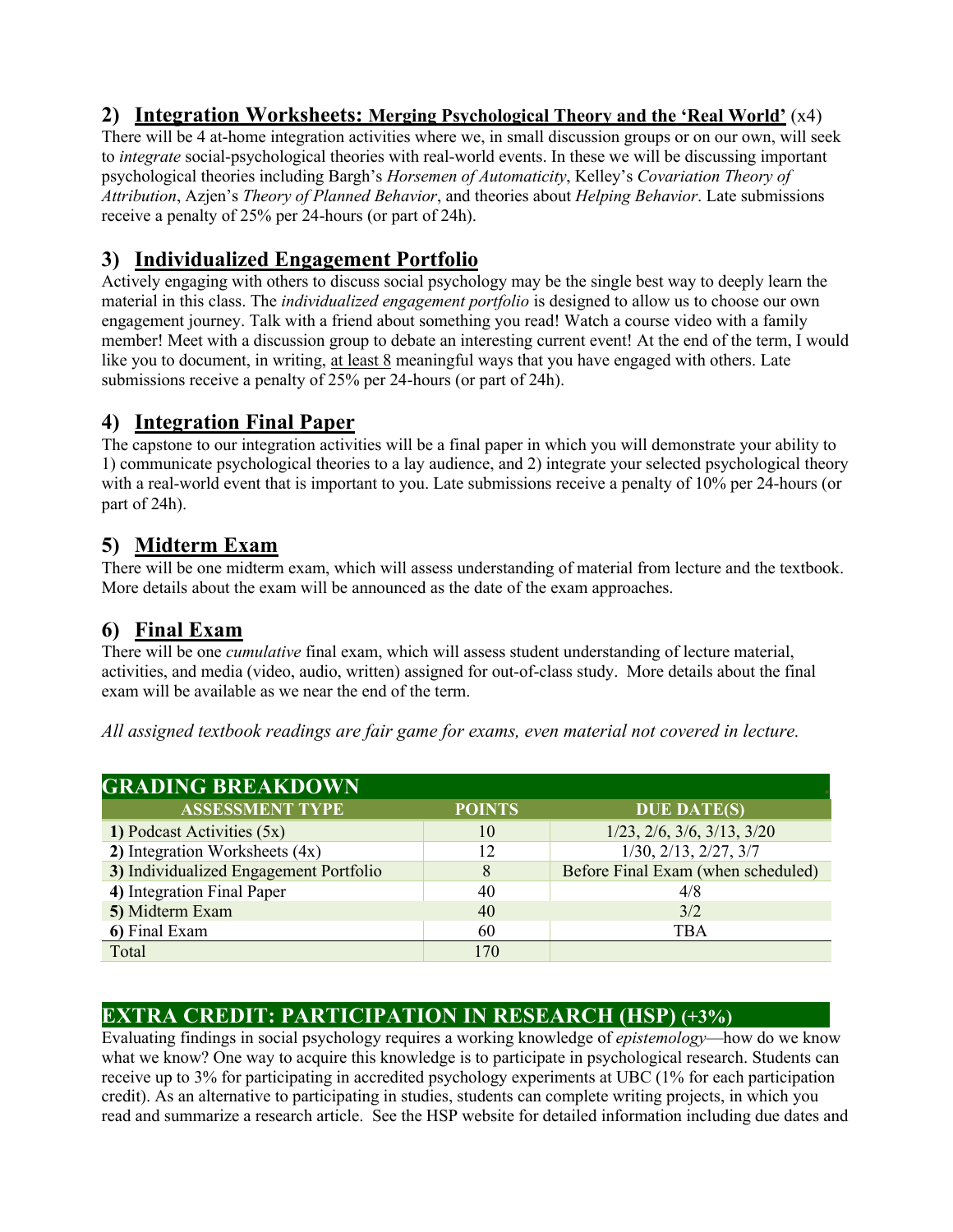#### **2) Integration Worksheets: Merging Psychological Theory and the 'Real World'** (x4)

There will be 4 at-home integration activities where we, in small discussion groups or on our own, will seek to *integrate* social-psychological theories with real-world events. In these we will be discussing important psychological theories including Bargh's *Horsemen of Automaticity*, Kelley's *Covariation Theory of Attribution*, Azjen's *Theory of Planned Behavior*, and theories about *Helping Behavior*. Late submissions receive a penalty of 25% per 24-hours (or part of 24h).

# **3) Individualized Engagement Portfolio**

Actively engaging with others to discuss social psychology may be the single best way to deeply learn the material in this class. The *individualized engagement portfolio* is designed to allow us to choose our own engagement journey. Talk with a friend about something you read! Watch a course video with a family member! Meet with a discussion group to debate an interesting current event! At the end of the term, I would like you to document, in writing, at least 8 meaningful ways that you have engaged with others. Late submissions receive a penalty of 25% per 24-hours (or part of 24h).

### **4) Integration Final Paper**

The capstone to our integration activities will be a final paper in which you will demonstrate your ability to 1) communicate psychological theories to a lay audience, and 2) integrate your selected psychological theory with a real-world event that is important to you. Late submissions receive a penalty of 10% per 24-hours (or part of 24h).

### **5) Midterm Exam**

There will be one midterm exam, which will assess understanding of material from lecture and the textbook. More details about the exam will be announced as the date of the exam approaches.

#### **6) Final Exam**

There will be one *cumulative* final exam, which will assess student understanding of lecture material, activities, and media (video, audio, written) assigned for out-of-class study. More details about the final exam will be available as we near the end of the term.

*All assigned textbook readings are fair game for exams, even material not covered in lecture.*

| <b>GRADING BREAKDOWN</b>               |               |                                          |  |  |  |  |  |
|----------------------------------------|---------------|------------------------------------------|--|--|--|--|--|
| <b>ASSESSMENT TYPE</b>                 | <b>POINTS</b> | <b>DUE DATE(S)</b>                       |  |  |  |  |  |
| 1) Podcast Activities (5x)             | 10            | $1/23$ , $2/6$ , $3/6$ , $3/13$ , $3/20$ |  |  |  |  |  |
| 2) Integration Worksheets (4x)         | 12            | $1/30$ , $2/13$ , $2/27$ , $3/7$         |  |  |  |  |  |
| 3) Individualized Engagement Portfolio |               | Before Final Exam (when scheduled)       |  |  |  |  |  |
| 4) Integration Final Paper             | 40            | 4/8                                      |  |  |  |  |  |
| 5) Midterm Exam                        | 40            | 3/2                                      |  |  |  |  |  |
| 6) Final Exam                          | 60            | TBA                                      |  |  |  |  |  |
| Total                                  | 170           |                                          |  |  |  |  |  |

### **EXTRA CREDIT: PARTICIPATION IN RESEARCH (HSP) (+3%)**

Evaluating findings in social psychology requires a working knowledge of *epistemology*—how do we know what we know? One way to acquire this knowledge is to participate in psychological research. Students can receive up to 3% for participating in accredited psychology experiments at UBC (1% for each participation credit). As an alternative to participating in studies, students can complete writing projects, in which you read and summarize a research article. See the HSP website for detailed information including due dates and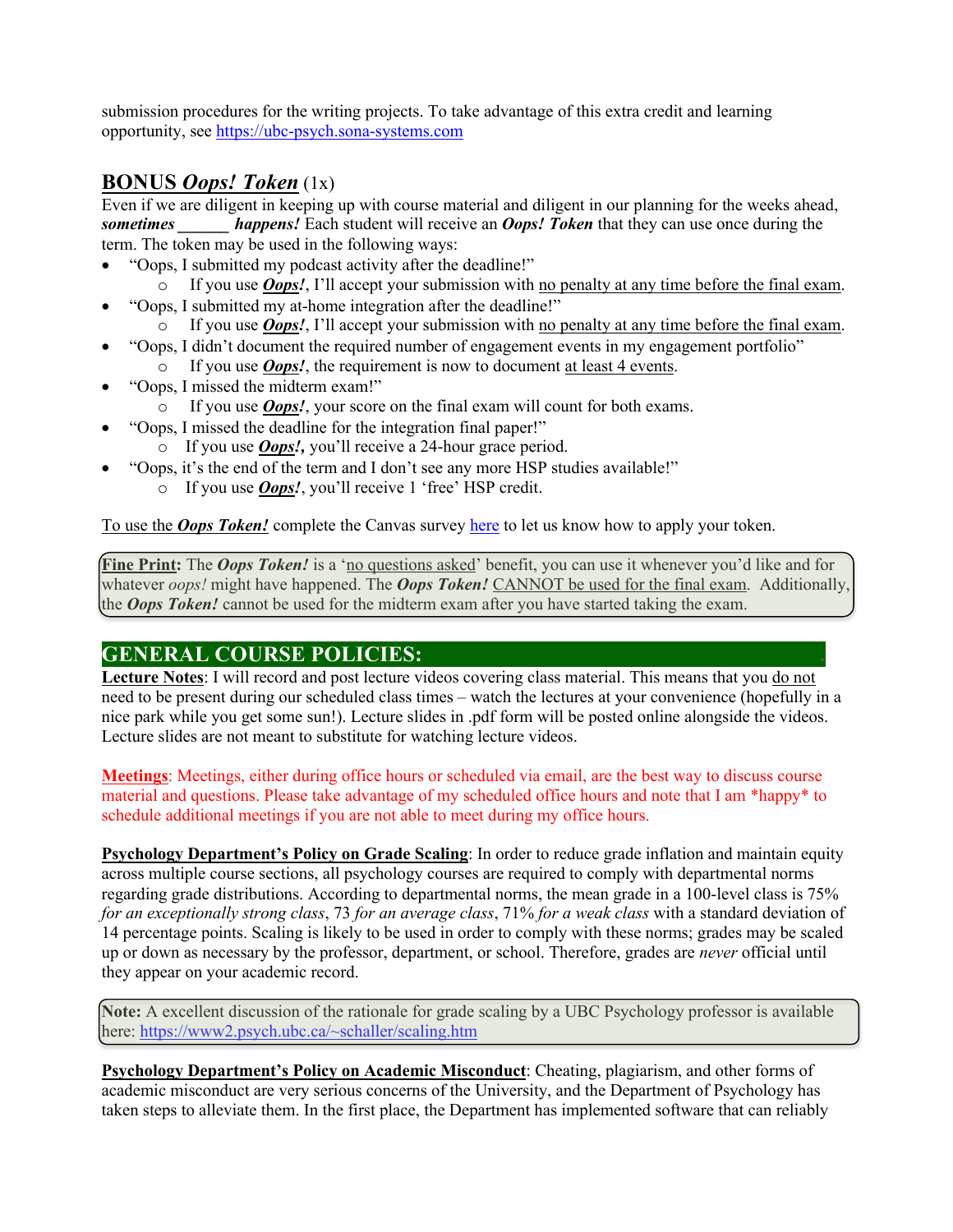submission procedures for the writing projects. To take advantage of this extra credit and learning opportunity, see https://ubc-psych.sona-systems.com

#### **BONUS** *Oops! Token* (1x)

Even if we are diligent in keeping up with course material and diligent in our planning for the weeks ahead, **sometimes** *happens!* Each student will receive an *Oops! Token* that they can use once during the term. The token may be used in the following ways:

- "Oops, I submitted my podcast activity after the deadline!"
	- o If you use *Oops!*, I'll accept your submission with no penalty at any time before the final exam.
- "Oops, I submitted my at-home integration after the deadline!"
- o If you use *Oops!*, I'll accept your submission with no penalty at any time before the final exam.
- "Oops, I didn't document the required number of engagement events in my engagement portfolio"
	- o If you use *Oops!*, the requirement is now to document at least 4 events.
- "Oops, I missed the midterm exam!"
	- o If you use *Oops!*, your score on the final exam will count for both exams.
- "Oops, I missed the deadline for the integration final paper!"
	- o If you use *Oops!,* you'll receive a 24-hour grace period.
- "Oops, it's the end of the term and I don't see any more HSP studies available!"
	- o If you use *Oops!*, you'll receive 1 'free' HSP credit.

To use the *Oops Token!* complete the Canvas survey here to let us know how to apply your token.

**Fine Print:** The *Oops Token!* is a 'no questions asked' benefit, you can use it whenever you'd like and for whatever *oops!* might have happened. The *Oops Token!* CANNOT be used for the final exam. Additionally, the *Oops Token!* cannot be used for the midterm exam after you have started taking the exam.

#### **GENERAL COURSE POLICIES: .**

**Lecture Notes**: I will record and post lecture videos covering class material. This means that you do not need to be present during our scheduled class times – watch the lectures at your convenience (hopefully in a nice park while you get some sun!). Lecture slides in .pdf form will be posted online alongside the videos. Lecture slides are not meant to substitute for watching lecture videos.

**Meetings**: Meetings, either during office hours or scheduled via email, are the best way to discuss course material and questions. Please take advantage of my scheduled office hours and note that I am \*happy\* to schedule additional meetings if you are not able to meet during my office hours.

**Psychology Department's Policy on Grade Scaling**: In order to reduce grade inflation and maintain equity across multiple course sections, all psychology courses are required to comply with departmental norms regarding grade distributions. According to departmental norms, the mean grade in a 100-level class is 75% *for an exceptionally strong class*, 73 *for an average class*, 71% *for a weak class* with a standard deviation of 14 percentage points. Scaling is likely to be used in order to comply with these norms; grades may be scaled up or down as necessary by the professor, department, or school. Therefore, grades are *never* official until they appear on your academic record.

**Note:** A excellent discussion of the rationale for grade scaling by a UBC Psychology professor is available here: https://www2.psych.ubc.ca/~schaller/scaling.htm

**Psychology Department's Policy on Academic Misconduct**: Cheating, plagiarism, and other forms of academic misconduct are very serious concerns of the University, and the Department of Psychology has taken steps to alleviate them. In the first place, the Department has implemented software that can reliably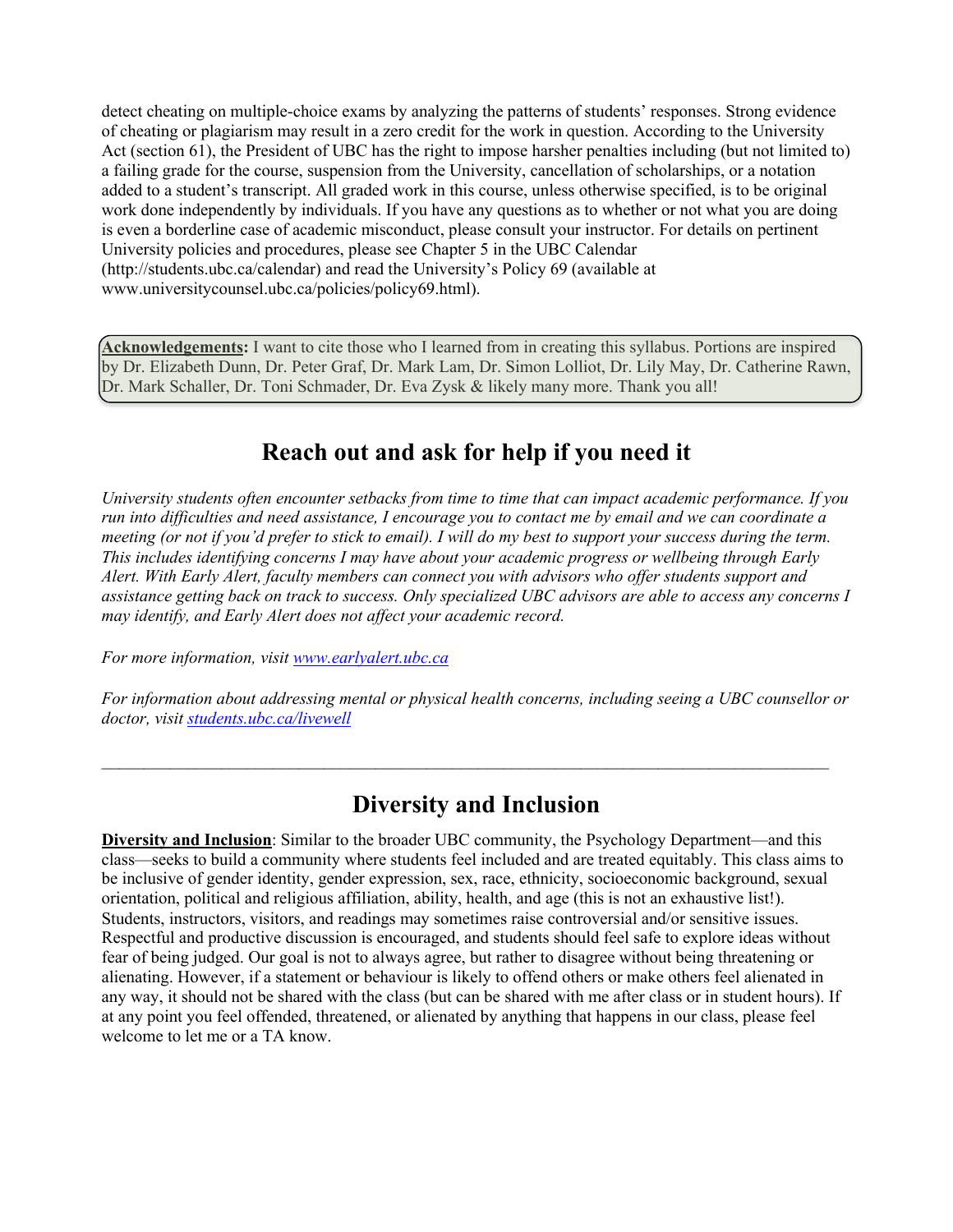detect cheating on multiple-choice exams by analyzing the patterns of students' responses. Strong evidence of cheating or plagiarism may result in a zero credit for the work in question. According to the University Act (section 61), the President of UBC has the right to impose harsher penalties including (but not limited to) a failing grade for the course, suspension from the University, cancellation of scholarships, or a notation added to a student's transcript. All graded work in this course, unless otherwise specified, is to be original work done independently by individuals. If you have any questions as to whether or not what you are doing is even a borderline case of academic misconduct, please consult your instructor. For details on pertinent University policies and procedures, please see Chapter 5 in the UBC Calendar (http://students.ubc.ca/calendar) and read the University's Policy 69 (available at www.universitycounsel.ubc.ca/policies/policy69.html).

**Acknowledgements:** I want to cite those who I learned from in creating this syllabus. Portions are inspired by Dr. Elizabeth Dunn, Dr. Peter Graf, Dr. Mark Lam, Dr. Simon Lolliot, Dr. Lily May, Dr. Catherine Rawn, Dr. Mark Schaller, Dr. Toni Schmader, Dr. Eva Zysk & likely many more. Thank you all!

# **Reach out and ask for help if you need it**

*University students often encounter setbacks from time to time that can impact academic performance. If you run into difficulties and need assistance, I encourage you to contact me by email and we can coordinate a meeting (or not if you'd prefer to stick to email). I will do my best to support your success during the term. This includes identifying concerns I may have about your academic progress or wellbeing through Early Alert. With Early Alert, faculty members can connect you with advisors who offer students support and assistance getting back on track to success. Only specialized UBC advisors are able to access any concerns I may identify, and Early Alert does not affect your academic record.*

*For more information, visit www.earlyalert.ubc.ca*

*For information about addressing mental or physical health concerns, including seeing a UBC counsellor or doctor, visit students.ubc.ca/livewell*

# **Diversity and Inclusion**

 $\mathcal{L}_\text{max} = \mathcal{L}_\text{max} = \mathcal{L}_\text{max} = \mathcal{L}_\text{max} = \mathcal{L}_\text{max} = \mathcal{L}_\text{max} = \mathcal{L}_\text{max} = \mathcal{L}_\text{max} = \mathcal{L}_\text{max} = \mathcal{L}_\text{max} = \mathcal{L}_\text{max} = \mathcal{L}_\text{max} = \mathcal{L}_\text{max} = \mathcal{L}_\text{max} = \mathcal{L}_\text{max} = \mathcal{L}_\text{max} = \mathcal{L}_\text{max} = \mathcal{L}_\text{max} = \mathcal{$ 

**Diversity and Inclusion**: Similar to the broader UBC community, the Psychology Department—and this class—seeks to build a community where students feel included and are treated equitably. This class aims to be inclusive of gender identity, gender expression, sex, race, ethnicity, socioeconomic background, sexual orientation, political and religious affiliation, ability, health, and age (this is not an exhaustive list!). Students, instructors, visitors, and readings may sometimes raise controversial and/or sensitive issues. Respectful and productive discussion is encouraged, and students should feel safe to explore ideas without fear of being judged. Our goal is not to always agree, but rather to disagree without being threatening or alienating. However, if a statement or behaviour is likely to offend others or make others feel alienated in any way, it should not be shared with the class (but can be shared with me after class or in student hours). If at any point you feel offended, threatened, or alienated by anything that happens in our class, please feel welcome to let me or a TA know.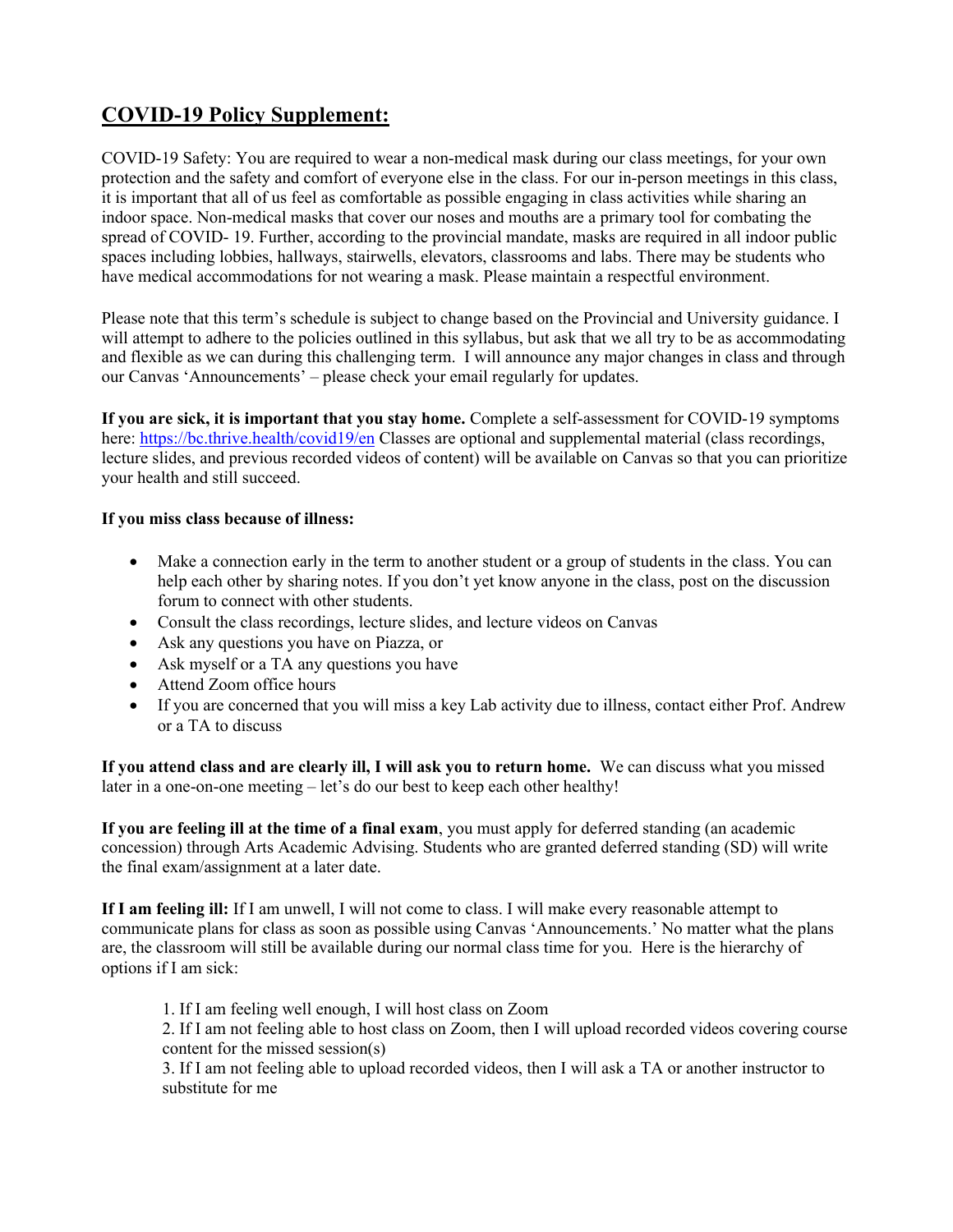# **COVID-19 Policy Supplement:**

COVID-19 Safety: You are required to wear a non-medical mask during our class meetings, for your own protection and the safety and comfort of everyone else in the class. For our in-person meetings in this class, it is important that all of us feel as comfortable as possible engaging in class activities while sharing an indoor space. Non-medical masks that cover our noses and mouths are a primary tool for combating the spread of COVID- 19. Further, according to the provincial mandate, masks are required in all indoor public spaces including lobbies, hallways, stairwells, elevators, classrooms and labs. There may be students who have medical accommodations for not wearing a mask. Please maintain a respectful environment.

Please note that this term's schedule is subject to change based on the Provincial and University guidance. I will attempt to adhere to the policies outlined in this syllabus, but ask that we all try to be as accommodating and flexible as we can during this challenging term. I will announce any major changes in class and through our Canvas 'Announcements' – please check your email regularly for updates.

**If you are sick, it is important that you stay home.** Complete a self-assessment for COVID-19 symptoms here: https://bc.thrive.health/covid19/en Classes are optional and supplemental material (class recordings, lecture slides, and previous recorded videos of content) will be available on Canvas so that you can prioritize your health and still succeed.

#### **If you miss class because of illness:**

- Make a connection early in the term to another student or a group of students in the class. You can help each other by sharing notes. If you don't yet know anyone in the class, post on the discussion forum to connect with other students.
- Consult the class recordings, lecture slides, and lecture videos on Canvas
- Ask any questions you have on Piazza, or
- Ask myself or a TA any questions you have
- Attend Zoom office hours
- If you are concerned that you will miss a key Lab activity due to illness, contact either Prof. Andrew or a TA to discuss

**If you attend class and are clearly ill, I will ask you to return home.** We can discuss what you missed later in a one-on-one meeting – let's do our best to keep each other healthy!

**If you are feeling ill at the time of a final exam**, you must apply for deferred standing (an academic concession) through Arts Academic Advising. Students who are granted deferred standing (SD) will write the final exam/assignment at a later date.

**If I am feeling ill:** If I am unwell, I will not come to class. I will make every reasonable attempt to communicate plans for class as soon as possible using Canvas 'Announcements.' No matter what the plans are, the classroom will still be available during our normal class time for you. Here is the hierarchy of options if I am sick:

1. If I am feeling well enough, I will host class on Zoom

2. If I am not feeling able to host class on Zoom, then I will upload recorded videos covering course content for the missed session(s)

3. If I am not feeling able to upload recorded videos, then I will ask a TA or another instructor to substitute for me